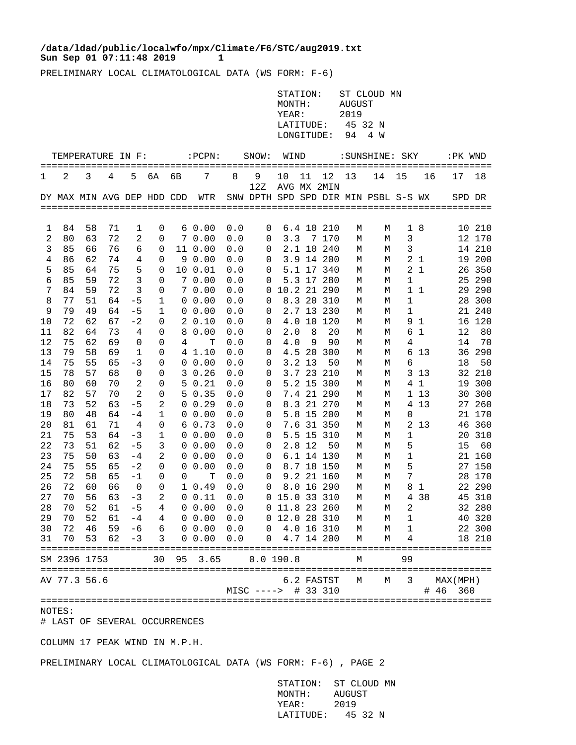## **Sun Sep 01 07:11:48 2019 1 /data/ldad/public/localwfo/mpx/Climate/F6/STC/aug2019.txt**

PRELIMINARY LOCAL CLIMATOLOGICAL DATA (WS FORM: F-6)

|          |                            |          |          |                        |                     |    |                                          |            |                     | MONTH:             |          |                          | AUGUST          |                                      |                |                |                            |                  |
|----------|----------------------------|----------|----------|------------------------|---------------------|----|------------------------------------------|------------|---------------------|--------------------|----------|--------------------------|-----------------|--------------------------------------|----------------|----------------|----------------------------|------------------|
|          |                            |          |          |                        |                     |    |                                          |            |                     | YEAR:<br>LATITUDE: |          |                          | 2019<br>45 32 N |                                      |                |                |                            |                  |
|          |                            |          |          |                        |                     |    |                                          |            |                     | LONGITUDE:         |          |                          | 94              | 4 W                                  |                |                |                            |                  |
|          |                            |          |          |                        |                     |    |                                          |            |                     |                    |          |                          |                 |                                      |                |                |                            |                  |
|          | TEMPERATURE IN F:          |          |          |                        |                     |    | $:$ $PCPN:$                              |            | SNOW:               | WIND               |          |                          |                 | : SUNSHINE: SKY                      |                |                | :PK WND                    |                  |
| 1        | 2                          | 3        | 4        | 5                      | 6A                  | 6В | 7                                        | 8          | 9                   | 10                 | 11       | 12                       | 13              | 14                                   | 15             | 16             | 17                         | 18               |
|          |                            |          |          |                        |                     |    |                                          |            | 12Z                 |                    |          | AVG MX 2MIN              |                 |                                      |                |                |                            |                  |
|          | DY MAX MIN AVG DEP HDD CDD |          |          |                        |                     |    | WTR                                      |            |                     |                    |          |                          |                 | SNW DPTH SPD SPD DIR MIN PSBL S-S WX |                |                | SPD DR                     |                  |
|          |                            |          |          |                        |                     |    |                                          |            |                     |                    |          |                          |                 |                                      |                |                |                            |                  |
| 1        | 84                         | 58       | 71       | 1                      | 0                   |    | 60.00                                    | 0.0        | 0                   |                    |          | 6.4 10 210               | М               | М                                    |                | 1 8            |                            | 10 210           |
| 2        | 80                         | 63       | 72       | 2                      | 0                   |    | 70.00                                    | 0.0        | 0                   |                    |          | 3.3 7 170                | М               | М                                    | $\mathbf{3}$   |                |                            | 12 170           |
| 3        | 85                         | 66       | 76       | 6                      | 0                   |    | 11 0.00                                  | 0.0        | 0                   |                    |          | 2.1 10 240               | М               | М                                    | 3              |                |                            | 14 210           |
| 4        | 86                         | 62       | 74       | 4                      | 0                   |    | 90.00                                    | 0.0        | 0                   |                    |          | 3.9 14 200               | М               | М                                    |                | 2 <sub>1</sub> |                            | 19 200           |
| 5        | 85                         | 64       | 75       | 5                      | 0                   |    | 10 0.01                                  | 0.0        | 0                   |                    |          | 5.1 17 340               | М               | М                                    |                | 2 <sub>1</sub> |                            | 26 350           |
| 6        | 85                         | 59       | 72       | $\mathbf{3}$           | 0                   |    | 70.00                                    | 0.0        | 0                   |                    |          | 5.3 17 280               | М               | М                                    | 1              |                | 25                         | 290              |
| 7<br>8   | 84<br>77                   | 59<br>51 | 72<br>64 | $\mathbf{3}$<br>$-5$   | 0<br>$\mathbf 1$    |    | 70.00<br>0 0.00                          | 0.0<br>0.0 | 0                   | 0 10.2 21 290      |          | 8.3 20 310               | М<br>М          | М<br>М                               | $\mathbf 1$    | $1\quad1$      |                            | 29 290<br>28 300 |
| 9        | 79                         | 49       | 64       | $-5$                   | 1                   |    | $0\;\;0.00$                              | 0.0        | 0                   |                    |          | 2.7 13 230               | М               | М                                    | $\mathbf 1$    |                |                            | 21 240           |
| 10       | 72                         | 62       | 67       | $-2$                   | 0                   |    | 2 0.10                                   | 0.0        | 0                   |                    |          | 4.0 10 120               | М               | М                                    |                | 9 <sub>1</sub> |                            | 16 120           |
| 11       | 82                         | 64       | 73       | 4                      | 0                   |    | 8 0.00                                   | 0.0        | 0                   | 2.0                | 8        | 20                       | М               | М                                    |                | 6 1            | 12                         | 80               |
| 12       | 75                         | 62       | 69       | 0                      | 0                   | 4  | т                                        | $0.0$      | 0                   | 4.0                | 9        | 90                       | М               | М                                    | 4              |                | 14                         | 70               |
| 13       | 79                         | 58       | 69       | $\mathbf 1$            | 0                   |    | 4 1.10                                   | 0.0        | 0                   |                    |          | 4.5 20 300               | М               | М                                    |                | 6 13           |                            | 36 290           |
| 14       | 75                         | 55       | 65       | $-3$                   | 0                   |    | $0\;\;0.00$                              | 0.0        | 0                   |                    | $3.2$ 13 | 50                       | М               | М                                    | 6              |                | 18                         | 50               |
| 15       | 78                         | 57       | 68       | $\mathbf 0$            | 0                   |    | 30.26                                    | 0.0        | 0                   |                    |          | 3.7 23 210               | М               | М                                    |                | 3 1 3          |                            | 32 210           |
| 16       | 80                         | 60       | 70       | $\overline{c}$         | 0                   |    | 50.21                                    | 0.0        | 0                   |                    |          | 5.2 15 300               | М               | М                                    |                | 4 1            |                            | 19 300           |
| 17<br>18 | 82<br>73                   | 57<br>52 | 70<br>63 | 2<br>$-5$              | 0<br>2              |    | 50.35<br>$0 \t 0.29$                     | 0.0<br>0.0 | 0<br>0              |                    |          | 7.4 21 290<br>8.3 21 270 | М<br>М          | М<br>М                               | 4              | 1 13<br>13     |                            | 30 300<br>27 260 |
| 19       | 80                         | 48       | 64       | -4                     | 1                   |    | $0\;\;0.00$                              | 0.0        | 0                   |                    |          | 5.8 15 200               | М               | М                                    | 0              |                |                            | 21 170           |
| 20       | 81                         | 61       | 71       | 4                      | 0                   |    | 60.73                                    | 0.0        | 0                   |                    |          | 7.6 31 350               | М               | М                                    |                | 2 13           |                            | 46 360           |
| 21       | 75                         | 53       | 64       | $-3$                   | $\mathbf 1$         |    | $0\;\;0.00$                              | 0.0        | 0                   |                    |          | 5.5 15 310               | М               | М                                    | $\mathbf 1$    |                |                            | 20 310           |
| 22       | 73                         | 51       | 62       | $-5$                   | 3                   |    | $0\;\;0.00$                              | 0.0        | 0                   |                    | $2.8$ 12 | 50                       | М               | М                                    | 5              |                | 15                         | 60               |
| 23       | 75                         | 50       | 63       | $-4$                   | 2                   |    | $0\;\;0.00$                              | 0.0        | 0                   |                    |          | 6.1 14 130               | М               | М                                    | 1              |                |                            | 21 160           |
| 24       | 75                         | 55       | 65       | $-2$                   | 0                   |    | 0, 0.00                                  | 0.0        | 0                   |                    |          | 8.7 18 150               | М               | М                                    | 5              |                |                            | 27 150           |
| 25       | 72                         | 58       | 65       | $-1$                   | 0                   | 0  | T                                        | 0.0        | 0                   |                    |          | 9.2 21 160               | М               | М                                    | 7              |                |                            | 28 170           |
| 26<br>27 | 72<br>70                   | 60<br>56 | 66<br>63 | $\overline{0}$<br>$-3$ | 0                   |    | 10.49<br>0 0.11                          | 0.0<br>0.0 | 0                   | 0 15.0 33 310      |          | 8.0 16 290               | М               | М                                    |                | 8 1<br>4 38    |                            | 22 290<br>45 310 |
| 28       | 70                         | 52       | 61       | $-5$                   | 2<br>$\overline{4}$ |    | $0\;\;0.00$                              | 0.0        |                     | $0$ 11.8 23 260    |          |                          | М<br>М          | М<br>М                               | $\overline{c}$ |                |                            | 32 280           |
| 29       | 70                         | 52       | 61       | $^{-\,4}$              | 4                   |    | 0 0.00                                   | $0.0$      |                     | 0 12.0 28 310      |          |                          | М               | М                                    | $\mathbf 1$    |                |                            | 40 320           |
| 30       |                            |          |          |                        |                     |    | 72 46 59 -6 6 0 0.00 0.0 0 4.0 16 310    |            |                     |                    |          |                          | M               | М                                    | 1              |                |                            | 22 300           |
|          |                            |          |          |                        |                     |    | 31 70 53 62 -3 3 0 0.00 0.0 0 4.7 14 200 |            |                     |                    |          |                          | М               | М                                    | 4              |                |                            | 18 210           |
|          | SM 2396 1753               |          |          |                        |                     |    | 30 95 3.65 0.0 190.8                     |            |                     |                    |          |                          | М               |                                      | 99             |                |                            |                  |
|          | AV 77.3 56.6               |          |          |                        |                     |    |                                          |            |                     |                    |          | 6.2 FASTST               | М               | М                                    | 3              |                | =============<br>MAX (MPH) |                  |
|          |                            |          |          |                        |                     |    |                                          |            | MISC ----> # 33 310 |                    |          |                          |                 |                                      |                |                | # 46<br>360                |                  |
|          |                            |          |          |                        |                     |    |                                          |            | ================    |                    |          |                          |                 |                                      |                |                |                            |                  |

STATION: ST CLOUD MN

NOTES:

# LAST OF SEVERAL OCCURRENCES

COLUMN 17 PEAK WIND IN M.P.H.

PRELIMINARY LOCAL CLIMATOLOGICAL DATA (WS FORM: F-6) , PAGE 2

 STATION: ST CLOUD MN MONTH: AUGUST YEAR: 2019 LATITUDE: 45 32 N